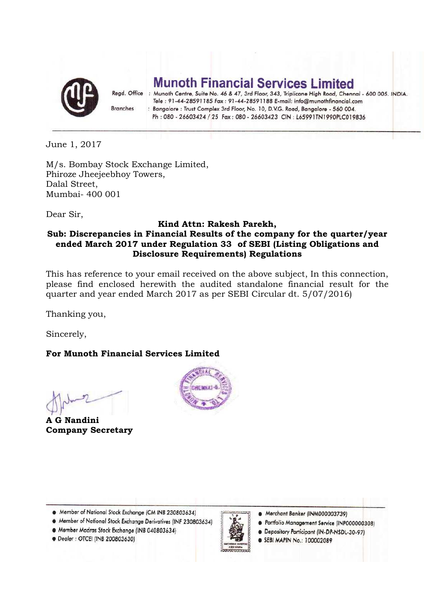

**Munoth Financial Services Limited** 

Regd. Office : Munoth Centre, Suite No. 46 & 47, 3rd Floor, 343, Triplicane High Road, Chennai - 600 005. INDIA. Tele: 91-44-28591185 Fax: 91-44-28591188 E-mail: info@munothfinancial.com **Branches** : Bangalore : Trust Complex 3rd Floor, No. 10, D.V.G. Road, Bangalore - 560 004. Ph: 080 - 26603424 / 25 Fax: 080 - 26603423 CIN: L65991TN1990PLC019836

June 1, 2017

M/s. Bombay Stock Exchange Limited, Phiroze Jheejeebhoy Towers, Dalal Street, Mumbai- 400 001

Dear Sir,

## **Kind Attn: Rakesh Parekh, Sub: Discrepancies in Financial Results of the company for the quarter/year ended March 2017 under Regulation 33 of SEBI (Listing Obligations and Disclosure Requirements) Regulations**

This has reference to your email received on the above subject, In this connection, please find enclosed herewith the audited standalone financial result for the quarter and year ended March 2017 as per SEBI Circular dt. 5/07/2016)

Thanking you,

Sincerely,

## **For Munoth Financial Services Limited**

**A G Nandini Company Secretary**



- A Member of National Stock Exchange Derivatives (INF 230803634)
- · Member Madras Stock Exchange (INB 040803634)



- · Merchant Banker (INM000003739)
- · Portfolio Management Service (INP000000308)
- · Depository Participant (IN-DP-NSDL-30-97)
- **6 SEBI MAPIN No.: 100002089**

· Dealer : OTCEI (INB 200803630)

Member of National Stock Exchange (CM INB 230803634)